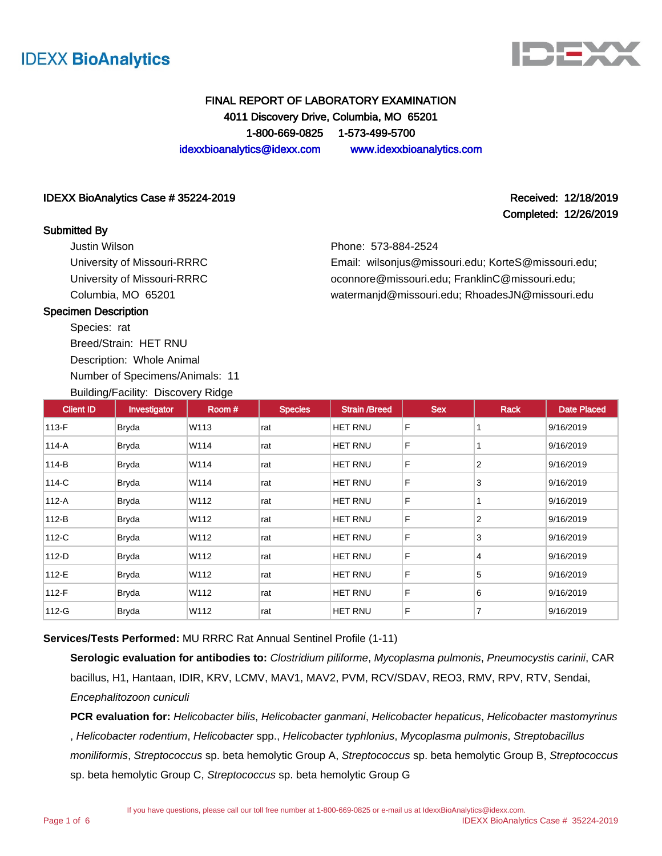



# FINAL REPORT OF LABORATORY EXAMINATION 4011 Discovery Drive, Columbia, MO 65201 1-800-669-0825 1-573-499-5700 idexxbioanalytics@idexx.com www.idexxbioanalytics.com

#### IDEXX BioAnalytics Case # 35224-2019 Received: 12/18/2019

#### Submitted By

Justin Wilson University of Missouri-RRRC University of Missouri-RRRC Columbia, MO 65201

Completed: 12/26/2019

Phone: 573-884-2524

Email: wilsonjus@missouri.edu; KorteS@missouri.edu; oconnore@missouri.edu; FranklinC@missouri.edu; watermanjd@missouri.edu; RhoadesJN@missouri.edu

#### Specimen Description

Species: rat Breed/Strain: HET RNU

Description: Whole Animal

Number of Specimens/Animals: 11

Building/Facility: Discovery Ridge

| <b>Client ID</b> | Investigator | Room# | <b>Species</b> | <b>Strain /Breed</b> | <b>Sex</b> | Rack           | <b>Date Placed</b> |
|------------------|--------------|-------|----------------|----------------------|------------|----------------|--------------------|
| $113-F$          | Bryda        | W113  | rat            | <b>HET RNU</b>       | F          |                | 9/16/2019          |
| 114-A            | Bryda        | W114  | rat            | <b>HET RNU</b>       | F          |                | 9/16/2019          |
| 114-B            | <b>Bryda</b> | W114  | rat            | <b>HET RNU</b>       | F          | $\overline{2}$ | 9/16/2019          |
| 114-C            | <b>Bryda</b> | W114  | rat            | HET RNU              | F          | 3              | 9/16/2019          |
| $112-A$          | <b>Bryda</b> | W112  | rat            | <b>HET RNU</b>       | F          |                | 9/16/2019          |
| $112-B$          | <b>Bryda</b> | W112  | rat            | HET RNU              | F          | $\overline{2}$ | 9/16/2019          |
| 112-C            | <b>Bryda</b> | W112  | rat            | <b>HET RNU</b>       | F          | 3              | 9/16/2019          |
| $112-D$          | <b>Bryda</b> | W112  | rat            | <b>HET RNU</b>       | F          | 4              | 9/16/2019          |
| 112-E            | <b>Bryda</b> | W112  | rat            | HET RNU              | F          | 5              | 9/16/2019          |
| 112-F            | <b>Bryda</b> | W112  | rat            | <b>HET RNU</b>       | F          | 6              | 9/16/2019          |
| 112-G            | <b>Bryda</b> | W112  | rat            | HET RNU              | F          | $\overline{7}$ | 9/16/2019          |

**Services/Tests Performed:** MU RRRC Rat Annual Sentinel Profile (1-11)

**Serologic evaluation for antibodies to:** Clostridium piliforme, Mycoplasma pulmonis, Pneumocystis carinii, CAR bacillus, H1, Hantaan, IDIR, KRV, LCMV, MAV1, MAV2, PVM, RCV/SDAV, REO3, RMV, RPV, RTV, Sendai, Encephalitozoon cuniculi

**PCR evaluation for:** Helicobacter bilis, Helicobacter ganmani, Helicobacter hepaticus, Helicobacter mastomyrinus , Helicobacter rodentium, Helicobacter spp., Helicobacter typhlonius, Mycoplasma pulmonis, Streptobacillus moniliformis, Streptococcus sp. beta hemolytic Group A, Streptococcus sp. beta hemolytic Group B, Streptococcus sp. beta hemolytic Group C, Streptococcus sp. beta hemolytic Group G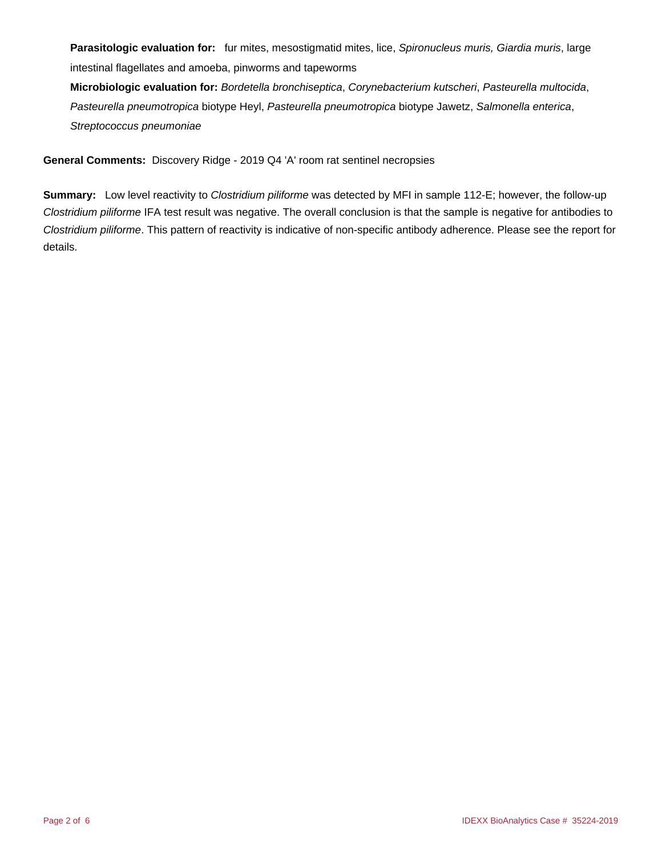**Parasitologic evaluation for:** fur mites, mesostigmatid mites, lice, Spironucleus muris, Giardia muris, large intestinal flagellates and amoeba, pinworms and tapeworms

**Microbiologic evaluation for:** Bordetella bronchiseptica, Corynebacterium kutscheri, Pasteurella multocida, Pasteurella pneumotropica biotype Heyl, Pasteurella pneumotropica biotype Jawetz, Salmonella enterica, Streptococcus pneumoniae

**General Comments:** Discovery Ridge - 2019 Q4 'A' room rat sentinel necropsies

**Summary:** Low level reactivity to Clostridium piliforme was detected by MFI in sample 112-E; however, the follow-up Clostridium piliforme IFA test result was negative. The overall conclusion is that the sample is negative for antibodies to Clostridium piliforme. This pattern of reactivity is indicative of non-specific antibody adherence. Please see the report for details.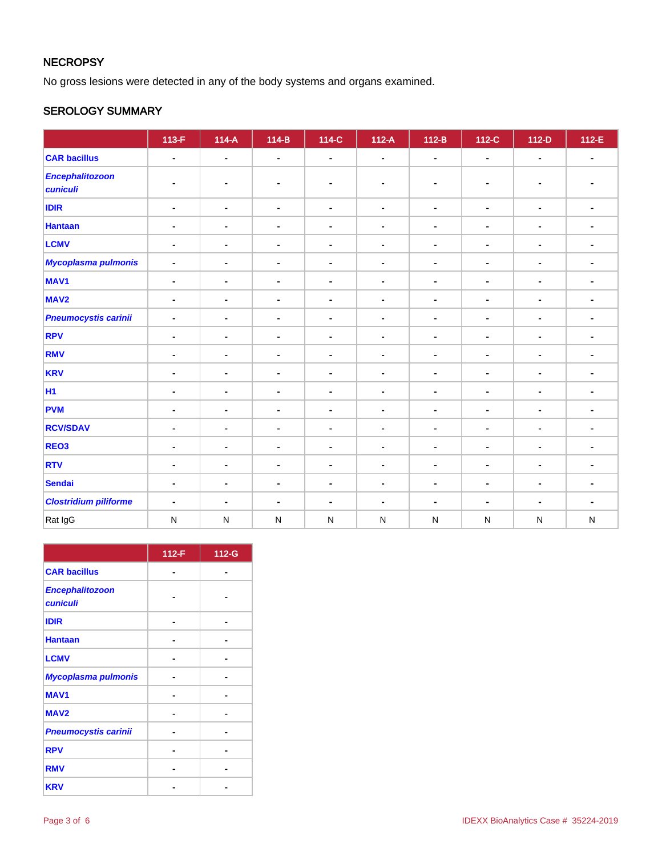# **NECROPSY**

No gross lesions were detected in any of the body systems and organs examined.

# SEROLOGY SUMMARY

|                                    | $113-F$                      | $114-A$        | $114-B$        | $\overline{114-C}$ | $112-A$        | $112-B$        | 112-C          | $112-D$                      | 112-E          |
|------------------------------------|------------------------------|----------------|----------------|--------------------|----------------|----------------|----------------|------------------------------|----------------|
| <b>CAR bacillus</b>                | $\blacksquare$               | $\blacksquare$ | $\blacksquare$ | $\blacksquare$     | $\blacksquare$ | $\blacksquare$ | $\sim$         | $\blacksquare$               | $\blacksquare$ |
| <b>Encephalitozoon</b><br>cuniculi |                              |                | $\blacksquare$ | $\blacksquare$     | ٠              |                | ٠              | $\blacksquare$               |                |
| <b>IDIR</b>                        | $\blacksquare$               | $\blacksquare$ | $\blacksquare$ | $\blacksquare$     | $\blacksquare$ | $\blacksquare$ | $\blacksquare$ | $\blacksquare$               | $\blacksquare$ |
| <b>Hantaan</b>                     | $\blacksquare$               | $\blacksquare$ | $\blacksquare$ | $\blacksquare$     | $\blacksquare$ | $\blacksquare$ | $\blacksquare$ | $\blacksquare$               | $\blacksquare$ |
| <b>LCMV</b>                        | $\blacksquare$               | $\blacksquare$ | $\blacksquare$ | $\blacksquare$     | $\blacksquare$ | $\blacksquare$ | $\blacksquare$ | $\blacksquare$               | $\blacksquare$ |
| <b>Mycoplasma pulmonis</b>         | $\qquad \qquad \blacksquare$ | $\blacksquare$ | $\blacksquare$ | $\blacksquare$     | $\blacksquare$ | $\blacksquare$ | $\blacksquare$ | $\qquad \qquad \blacksquare$ | $\blacksquare$ |
| MAV <sub>1</sub>                   | $\blacksquare$               | $\blacksquare$ | $\blacksquare$ | $\blacksquare$     | $\blacksquare$ | $\blacksquare$ | $\blacksquare$ | $\blacksquare$               | $\blacksquare$ |
| MAV <sub>2</sub>                   | ۰                            | ٠              | $\blacksquare$ | $\blacksquare$     | $\blacksquare$ | ۰              | $\blacksquare$ | $\blacksquare$               | $\blacksquare$ |
| <b>Pneumocystis carinii</b>        | $\blacksquare$               | $\blacksquare$ | $\blacksquare$ | $\blacksquare$     | $\blacksquare$ | $\blacksquare$ | $\blacksquare$ | $\blacksquare$               | $\blacksquare$ |
| <b>RPV</b>                         | $\blacksquare$               | $\blacksquare$ | $\blacksquare$ | $\blacksquare$     | $\blacksquare$ | $\blacksquare$ | $\blacksquare$ | $\blacksquare$               | ٠              |
| <b>RMV</b>                         | $\blacksquare$               | $\blacksquare$ | $\blacksquare$ | $\blacksquare$     | $\blacksquare$ | $\blacksquare$ | $\blacksquare$ | $\blacksquare$               | ۰              |
| <b>KRV</b>                         | -                            | $\blacksquare$ | $\blacksquare$ | $\blacksquare$     | $\blacksquare$ |                | $\blacksquare$ | $\blacksquare$               |                |
| <b>H1</b>                          | $\blacksquare$               | $\blacksquare$ | $\blacksquare$ | $\blacksquare$     | $\blacksquare$ | $\blacksquare$ | $\blacksquare$ | $\blacksquare$               | $\blacksquare$ |
| <b>PVM</b>                         | $\blacksquare$               | $\blacksquare$ | $\blacksquare$ | $\blacksquare$     | $\blacksquare$ | $\blacksquare$ | $\blacksquare$ | $\blacksquare$               | $\blacksquare$ |
| <b>RCV/SDAV</b>                    | ۰                            | $\blacksquare$ | $\blacksquare$ | $\blacksquare$     | $\blacksquare$ | $\blacksquare$ | $\blacksquare$ | $\blacksquare$               | ۰              |
| REO <sub>3</sub>                   | $\blacksquare$               | $\blacksquare$ | $\blacksquare$ | $\blacksquare$     | $\blacksquare$ | $\blacksquare$ | $\blacksquare$ | $\blacksquare$               | $\blacksquare$ |
| <b>RTV</b>                         | $\blacksquare$               | $\blacksquare$ | $\blacksquare$ | $\blacksquare$     | $\blacksquare$ | $\blacksquare$ | $\blacksquare$ | $\blacksquare$               | ۰              |
| <b>Sendai</b>                      | $\blacksquare$               | $\blacksquare$ | $\blacksquare$ | $\blacksquare$     | $\blacksquare$ | $\blacksquare$ | $\blacksquare$ | $\blacksquare$               | $\blacksquare$ |
| <b>Clostridium piliforme</b>       | $\blacksquare$               | ۰              | $\blacksquare$ | $\blacksquare$     | $\blacksquare$ | $\blacksquare$ | $\blacksquare$ | $\blacksquare$               | ٠              |
| Rat IgG                            | ${\sf N}$                    | $\mathsf{N}$   | ${\sf N}$      | $\mathsf{N}$       | $\mathsf{N}$   | ${\sf N}$      | N              | $\mathsf{N}$                 | ${\sf N}$      |

|                                           | 112-F | 112-G |
|-------------------------------------------|-------|-------|
| <b>CAR bacillus</b>                       |       |       |
| <b>Encephalitozoon</b><br><b>cuniculi</b> |       |       |
| <b>IDIR</b>                               |       |       |
| <b>Hantaan</b>                            |       |       |
| <b>LCMV</b>                               |       |       |
| <b>Mycoplasma pulmonis</b>                |       |       |
| <b>MAV1</b>                               |       |       |
| MAV <sub>2</sub>                          |       |       |
| <b>Pneumocystis carinii</b>               |       |       |
| <b>RPV</b>                                |       |       |
| <b>RMV</b>                                |       |       |
| <b>KRV</b>                                |       |       |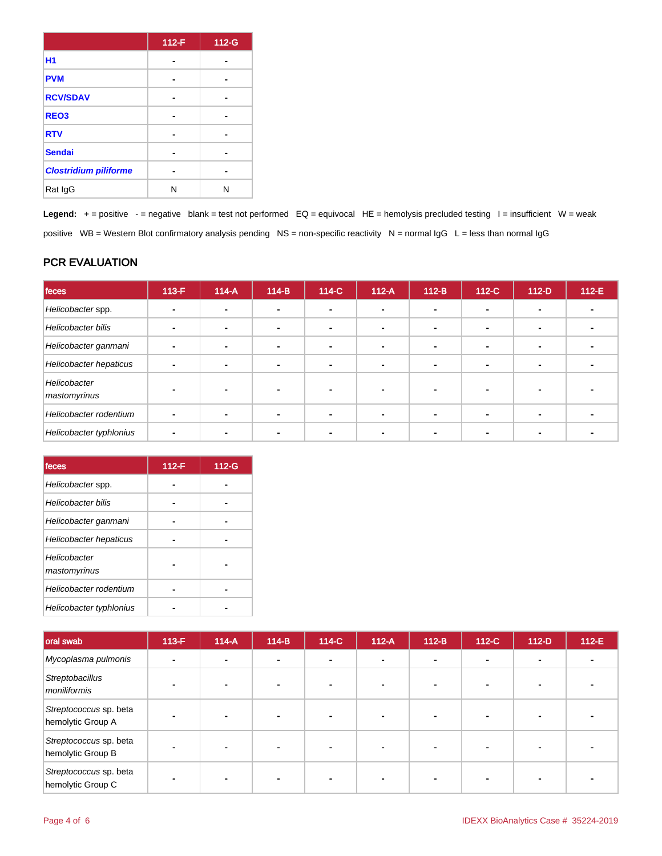|                              | 112-F | 112-G |
|------------------------------|-------|-------|
| <b>H1</b>                    |       |       |
| <b>PVM</b>                   |       |       |
| <b>RCV/SDAV</b>              |       |       |
| REO <sub>3</sub>             |       |       |
| <b>RTV</b>                   |       |       |
| <b>Sendai</b>                |       |       |
| <b>Clostridium piliforme</b> |       |       |
| Rat IgG                      | Ν     | N     |

Legend: + = positive - = negative blank = test not performed EQ = equivocal HE = hemolysis precluded testing I = insufficient W = weak positive WB = Western Blot confirmatory analysis pending NS = non-specific reactivity N = normal IgG L = less than normal IgG

# PCR EVALUATION

| feces                        | $113-F$ | $114-A$ | $114-B$                  | 114-C                    | $112-A$ | $112-B$ | $112-C$ | $112-D$                  | $112-E$ |
|------------------------------|---------|---------|--------------------------|--------------------------|---------|---------|---------|--------------------------|---------|
| Helicobacter spp.            |         |         |                          |                          |         |         |         |                          |         |
| Helicobacter bilis           |         |         | $\blacksquare$           | $\overline{\phantom{a}}$ |         |         |         | -                        |         |
| Helicobacter ganmani         |         |         | $\overline{\phantom{0}}$ | $\overline{\phantom{0}}$ |         | -       |         | $\overline{\phantom{0}}$ |         |
| Helicobacter hepaticus       |         |         | $\blacksquare$           | $\sim$                   |         |         |         | -                        |         |
| Helicobacter<br>mastomyrinus |         |         |                          |                          |         |         |         |                          |         |
| Helicobacter rodentium       |         |         |                          |                          |         |         |         |                          |         |
| Helicobacter typhlonius      |         |         |                          |                          |         |         |         |                          |         |

| feces                        | 112-F | 112-G |
|------------------------------|-------|-------|
| Helicobacter spp.            |       |       |
| <b>Helicobacter bilis</b>    |       |       |
| Helicobacter ganmani         |       |       |
| Helicobacter hepaticus       |       |       |
| Helicobacter<br>mastomyrinus |       |       |
| Helicobacter rodentium       |       |       |
| Helicobacter typhlonius      |       |       |

| oral swab                                   | $113-F$ | $114-A$ | $114-B$        | 114-C | $112-A$ | $112-B$        | 112-C | $112-D$ | 112-E |
|---------------------------------------------|---------|---------|----------------|-------|---------|----------------|-------|---------|-------|
| Mycoplasma pulmonis                         |         |         | $\blacksquare$ |       |         | $\blacksquare$ |       |         |       |
| Streptobacillus<br>moniliformis             |         |         |                |       |         |                |       |         |       |
| Streptococcus sp. beta<br>hemolytic Group A |         |         |                |       |         |                |       |         |       |
| Streptococcus sp. beta<br>hemolytic Group B |         |         | $\blacksquare$ |       |         |                |       |         |       |
| Streptococcus sp. beta<br>hemolytic Group C |         |         |                |       |         |                |       |         |       |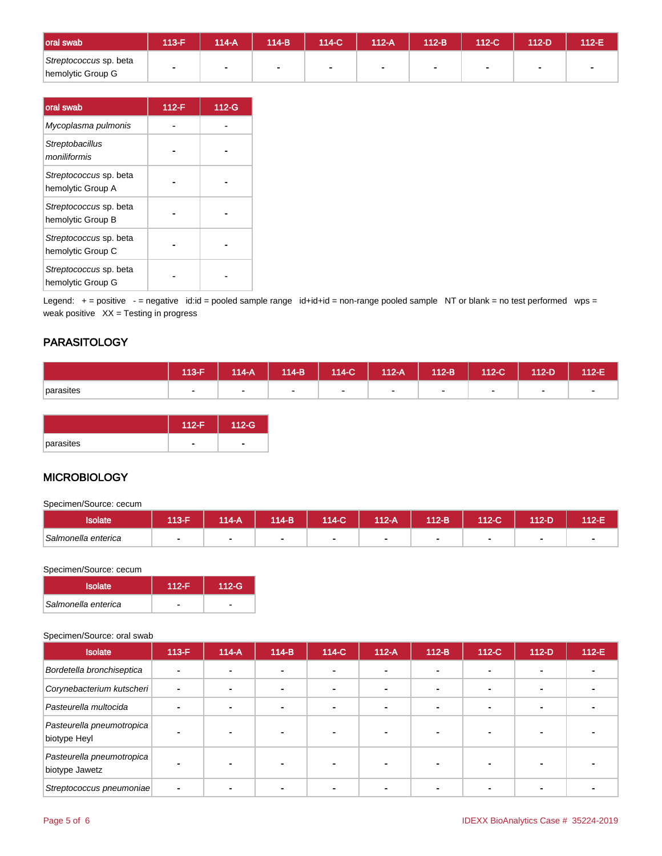| oral swab                                   | 113-F                    | 114-A | $114-B$     | 114-C  | 112-A | 112-B | $112-C$ | $112-D$ | 112-E |
|---------------------------------------------|--------------------------|-------|-------------|--------|-------|-------|---------|---------|-------|
| Streptococcus sp. beta<br>hemolytic Group G | $\overline{\phantom{a}}$ |       | <b>1999</b> | $\sim$ |       | -     |         |         |       |

| oral swab                                   | $112-F$ | 112-G |
|---------------------------------------------|---------|-------|
| Mycoplasma pulmonis                         |         |       |
| Streptobacillus<br>moniliformis             |         |       |
| Streptococcus sp. beta<br>hemolytic Group A |         |       |
| Streptococcus sp. beta<br>hemolytic Group B |         |       |
| Streptococcus sp. beta<br>hemolytic Group C |         |       |
| Streptococcus sp. beta<br>hemolytic Group G |         |       |

Legend: + = positive - = negative id:id = pooled sample range id+id+id = non-range pooled sample NT or blank = no test performed wps = weak positive  $XX = T$ esting in progress

# **PARASITOLOGY**

|           | $113-F$ | $114-A$ |                          | 114-B   114-C | $112-A$ | $112-B$ | $112-C$ | 112-D | 112-E |
|-----------|---------|---------|--------------------------|---------------|---------|---------|---------|-------|-------|
| parasites |         | . .     | $\overline{\phantom{0}}$ |               |         |         |         |       |       |

|           | 112-F | 112-G |
|-----------|-------|-------|
| parasites |       |       |

# **MICROBIOLOGY**

Specimen/Source: cecum

| solate              | 113-F | $14-A$ | 114-B' | $14-C$ | $112-A$ | 112-B | 112-C | $12-D$ | $12-E$ |
|---------------------|-------|--------|--------|--------|---------|-------|-------|--------|--------|
| Salmonella enterica |       |        |        |        |         |       |       |        |        |

#### Specimen/Source: cecum

| <b>Isolate</b>      | $112-F$ | $112-G$ |
|---------------------|---------|---------|
| Salmonella enterica |         |         |

#### Specimen/Source: oral swab

| <b>Isolate</b>                              | $113-F$ | $114-A$ | $114-B$ | 114-C | $112-A$        | $112-B$                  | 112-C | $112-D$ | 112-E |
|---------------------------------------------|---------|---------|---------|-------|----------------|--------------------------|-------|---------|-------|
| Bordetella bronchiseptica                   |         |         | ۰       |       | $\blacksquare$ | $\sim$                   |       |         |       |
| Corynebacterium kutscheri                   |         | ۰       |         |       |                | $\blacksquare$           |       |         |       |
| Pasteurella multocida                       |         |         |         |       | -              | $\overline{\phantom{0}}$ |       |         |       |
| Pasteurella pneumotropica<br>biotype Heyl   |         |         |         |       |                |                          |       |         |       |
| Pasteurella pneumotropica<br>biotype Jawetz |         |         |         |       |                |                          |       |         |       |
| Streptococcus pneumoniae                    |         |         |         |       |                |                          |       |         |       |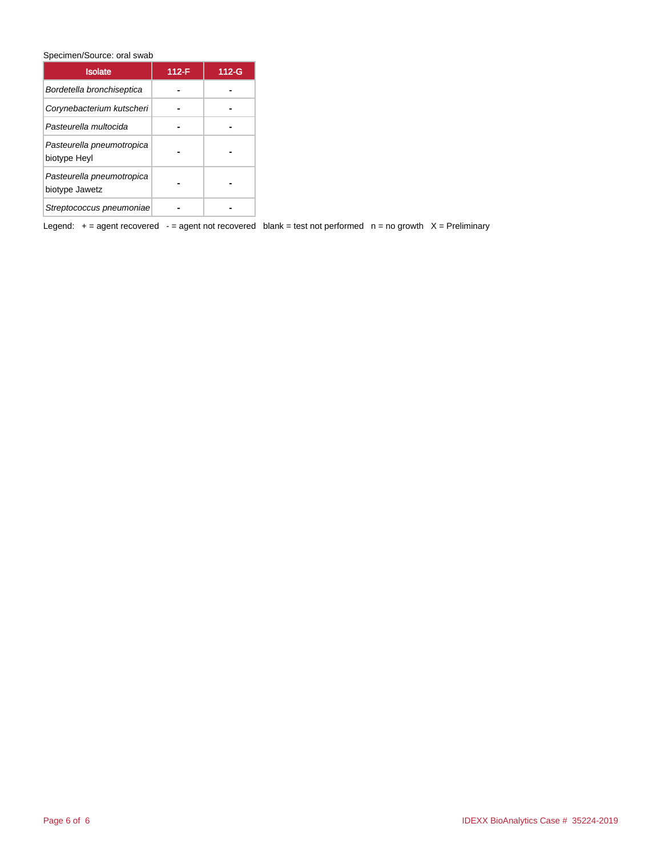Specimen/Source: oral swab

| <b>Isolate</b>                              | 112-F | $112-G$ |
|---------------------------------------------|-------|---------|
| Bordetella bronchiseptica                   |       |         |
| Corynebacterium kutscheri                   |       |         |
| Pasteurella multocida                       |       |         |
| Pasteurella pneumotropica<br>biotype Heyl   |       |         |
| Pasteurella pneumotropica<br>biotype Jawetz |       |         |
| Streptococcus pneumoniae                    |       |         |

Legend:  $+=$  agent recovered - = agent not recovered blank = test not performed  $n =$  no growth  $X =$  Preliminary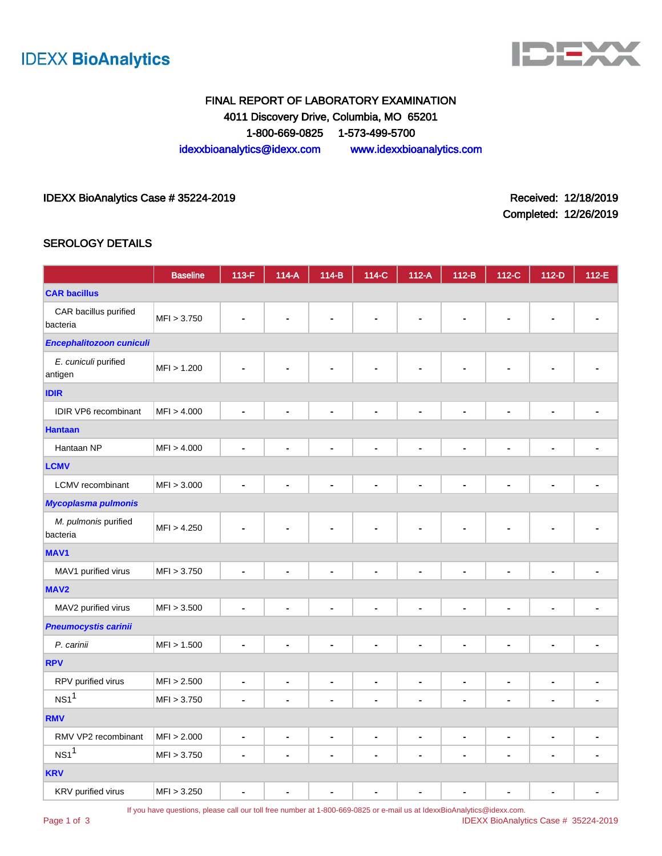



# FINAL REPORT OF LABORATORY EXAMINATION 4011 Discovery Drive, Columbia, MO 65201 1-800-669-0825 1-573-499-5700 idexxbioanalytics@idexx.com www.idexxbioanalytics.com

#### IDEXX BioAnalytics Case # 35224-2019 **Received: 12/18/2019** Received: 12/18/2019

Completed: 12/26/2019

#### SEROLOGY DETAILS

|                                   | <b>Baseline</b> | 113-F          | $114-A$        | 114-B                        | 114-C                        | $112-A$              | $112-B$                  | 112-C                        | 112-D          | 112-E          |  |
|-----------------------------------|-----------------|----------------|----------------|------------------------------|------------------------------|----------------------|--------------------------|------------------------------|----------------|----------------|--|
| <b>CAR bacillus</b>               |                 |                |                |                              |                              |                      |                          |                              |                |                |  |
| CAR bacillus purified<br>bacteria | MFI > 3.750     |                |                |                              |                              |                      |                          |                              |                |                |  |
| Encephalitozoon cuniculi          |                 |                |                |                              |                              |                      |                          |                              |                |                |  |
| E. cuniculi purified<br>antigen   | MFI > 1.200     |                |                |                              |                              | $\blacksquare$       | ٠                        |                              |                |                |  |
| <b>IDIR</b>                       |                 |                |                |                              |                              |                      |                          |                              |                |                |  |
| <b>IDIR VP6</b> recombinant       | MFI > 4.000     | ä,             | $\blacksquare$ | $\blacksquare$               | $\qquad \qquad \blacksquare$ | $\blacksquare$       | $\blacksquare$           | $\blacksquare$               | ä,             |                |  |
| <b>Hantaan</b>                    |                 |                |                |                              |                              |                      |                          |                              |                |                |  |
| Hantaan NP                        | MFI > 4.000     | ä,             | ÷              | $\blacksquare$               | $\blacksquare$               | $\blacksquare$       | $\blacksquare$           | $\blacksquare$               | ÷,             |                |  |
| <b>LCMV</b>                       |                 |                |                |                              |                              |                      |                          |                              |                |                |  |
| LCMV recombinant                  | MFI > 3.000     | ä,             | ä,             | $\qquad \qquad \blacksquare$ | $\overline{a}$               | $\blacksquare$       | $\blacksquare$           | $\qquad \qquad \blacksquare$ | $\blacksquare$ |                |  |
| <b>Mycoplasma pulmonis</b>        |                 |                |                |                              |                              |                      |                          |                              |                |                |  |
| M. pulmonis purified<br>bacteria  | MFI > 4.250     |                |                | $\blacksquare$               | $\blacksquare$               | ä,                   | Ĭ.                       | ä,                           |                |                |  |
| MAV <sub>1</sub>                  |                 |                |                |                              |                              |                      |                          |                              |                |                |  |
| MAV1 purified virus               | MFI > 3.750     |                |                | ä,                           | $\blacksquare$               | $\ddot{\phantom{a}}$ | $\blacksquare$           | l,                           | L              |                |  |
| MAV <sub>2</sub>                  |                 |                |                |                              |                              |                      |                          |                              |                |                |  |
| MAV2 purified virus               | MFI > 3.500     |                |                | $\blacksquare$               | $\qquad \qquad \blacksquare$ | $\blacksquare$       | $\overline{\phantom{a}}$ | Ĭ.                           | $\blacksquare$ |                |  |
| <b>Pneumocystis carinii</b>       |                 |                |                |                              |                              |                      |                          |                              |                |                |  |
| P. carinii                        | MFI > 1.500     | $\blacksquare$ |                | $\blacksquare$               | ä,                           | $\blacksquare$       | Ĭ.                       | Ĭ.                           | ä,             |                |  |
| <b>RPV</b>                        |                 |                |                |                              |                              |                      |                          |                              |                |                |  |
| RPV purified virus                | MFI > 2.500     | -              | $\blacksquare$ | ۰                            | $\blacksquare$               | $\blacksquare$       | $\blacksquare$           | $\blacksquare$               | ۰              | ۰              |  |
| NS1 <sup>1</sup>                  | MFI > 3.750     | $\blacksquare$ | ۰              | $\blacksquare$               | $\blacksquare$               | $\blacksquare$       | $\blacksquare$           | ä,                           | $\blacksquare$ |                |  |
| <b>RMV</b>                        |                 |                |                |                              |                              |                      |                          |                              |                |                |  |
| RMV VP2 recombinant               | MFI > 2.000     | $\blacksquare$ | $\blacksquare$ | $\blacksquare$               | $\blacksquare$               | $\blacksquare$       | $\blacksquare$           | $\blacksquare$               | $\blacksquare$ |                |  |
| NS1 <sup>1</sup>                  | MFI > 3.750     | $\blacksquare$ | $\blacksquare$ | $\blacksquare$               | $\blacksquare$               | $\blacksquare$       | $\blacksquare$           | $\overline{a}$               | $\blacksquare$ | $\blacksquare$ |  |
| <b>KRV</b>                        |                 |                |                |                              |                              |                      |                          |                              |                |                |  |
| KRV purified virus                | MFI > 3.250     |                |                | ä,                           | $\blacksquare$               | $\blacksquare$       | $\blacksquare$           | L,                           |                |                |  |

Page 1 of 3

If you have questions, please call our toll free number at 1-800-669-0825 or e-mail us at IdexxBioAnalytics@idexx.com.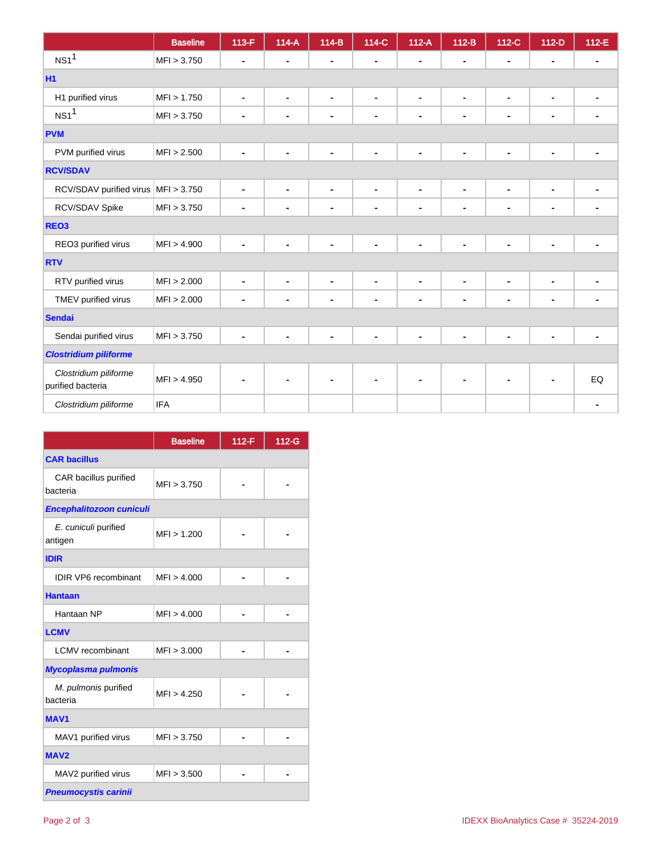|                                            | <b>Baseline</b> | 113-F          | $114-A$        | $114-B$                  | 114-C          | $112-A$        | $112-B$        | $112-C$        | $112-D$        | 112-E |  |
|--------------------------------------------|-----------------|----------------|----------------|--------------------------|----------------|----------------|----------------|----------------|----------------|-------|--|
| NS1 <sup>1</sup>                           | MFI > 3.750     | ä,             | ۰              | $\blacksquare$           | $\blacksquare$ |                |                | $\blacksquare$ |                |       |  |
| <b>H1</b>                                  |                 |                |                |                          |                |                |                |                |                |       |  |
| H1 purified virus                          | MFI > 1.750     | ٠              | $\blacksquare$ | $\blacksquare$           | $\blacksquare$ | $\blacksquare$ | $\blacksquare$ | $\blacksquare$ | $\blacksquare$ |       |  |
| NS1 <sup>1</sup>                           | MFI > 3.750     | $\blacksquare$ | ۰              | $\blacksquare$           | $\blacksquare$ | $\blacksquare$ | $\blacksquare$ | $\blacksquare$ | $\blacksquare$ |       |  |
| <b>PVM</b>                                 |                 |                |                |                          |                |                |                |                |                |       |  |
| PVM purified virus                         | MFI > 2.500     | $\blacksquare$ | ٠              | $\blacksquare$           | ٠              | $\blacksquare$ | ä,             | $\blacksquare$ |                |       |  |
| <b>RCV/SDAV</b>                            |                 |                |                |                          |                |                |                |                |                |       |  |
| RCV/SDAV purified virus   MFI > 3.750      |                 | ٠              | $\blacksquare$ | $\blacksquare$           | $\blacksquare$ | $\blacksquare$ | $\blacksquare$ | $\blacksquare$ | $\blacksquare$ |       |  |
| RCV/SDAV Spike                             | MFI > 3.750     | $\blacksquare$ | $\blacksquare$ | $\overline{\phantom{a}}$ | $\blacksquare$ | $\blacksquare$ | $\blacksquare$ | $\blacksquare$ | $\blacksquare$ |       |  |
| REO <sub>3</sub>                           |                 |                |                |                          |                |                |                |                |                |       |  |
| REO3 purified virus                        | MFI > 4.900     | -              |                | $\blacksquare$           | $\blacksquare$ | $\blacksquare$ | ä,             | $\blacksquare$ |                |       |  |
| <b>RTV</b>                                 |                 |                |                |                          |                |                |                |                |                |       |  |
| RTV purified virus                         | MFI > 2.000     | ٠              | $\blacksquare$ | $\blacksquare$           | $\blacksquare$ | $\blacksquare$ | $\blacksquare$ | $\blacksquare$ | $\blacksquare$ |       |  |
| TMEV purified virus                        | MFI > 2.000     | ۰              | ۰              | $\blacksquare$           | $\blacksquare$ | ۰              | $\blacksquare$ | $\blacksquare$ | $\blacksquare$ |       |  |
| <b>Sendai</b>                              |                 |                |                |                          |                |                |                |                |                |       |  |
| Sendai purified virus                      | MFI > 3.750     | ۰              |                | ä,                       | ٠              | ä,             |                | $\blacksquare$ |                |       |  |
| <b>Clostridium piliforme</b>               |                 |                |                |                          |                |                |                |                |                |       |  |
| Clostridium piliforme<br>purified bacteria | MFI > 4.950     |                |                | ٠                        |                | $\blacksquare$ |                | $\blacksquare$ |                | EQ    |  |
| Clostridium piliforme                      | <b>IFA</b>      |                |                |                          |                |                |                |                |                |       |  |

|                                   | <b>Baseline</b> | 112-F | 112-G |  |  |  |  |  |
|-----------------------------------|-----------------|-------|-------|--|--|--|--|--|
| <b>CAR bacillus</b>               |                 |       |       |  |  |  |  |  |
| CAR bacillus purified<br>bacteria | MFI > 3.750     |       |       |  |  |  |  |  |
| Encephalitozoon cuniculi          |                 |       |       |  |  |  |  |  |
| E. cuniculi purified<br>antigen   | MFI > 1.200     |       |       |  |  |  |  |  |
| <b>IDIR</b>                       |                 |       |       |  |  |  |  |  |
| <b>IDIR VP6</b> recombinant       | MFI > 4.000     |       |       |  |  |  |  |  |
| <b>Hantaan</b>                    |                 |       |       |  |  |  |  |  |
| Hantaan NP                        | MFI > 4.000     |       |       |  |  |  |  |  |
| <b>LCMV</b>                       |                 |       |       |  |  |  |  |  |
| <b>LCMV</b> recombinant           | MFI > 3.000     |       |       |  |  |  |  |  |
| <b>Mycoplasma pulmonis</b>        |                 |       |       |  |  |  |  |  |
| M. pulmonis purified<br>bacteria  | MFI > 4.250     |       |       |  |  |  |  |  |
| <b>MAV1</b>                       |                 |       |       |  |  |  |  |  |
| MAV1 purified virus               | MFI > 3.750     |       |       |  |  |  |  |  |
| MAV <sub>2</sub>                  |                 |       |       |  |  |  |  |  |
| MAV2 purified virus               | MFI > 3.500     |       |       |  |  |  |  |  |
| <b>Pneumocystis carinii</b>       |                 |       |       |  |  |  |  |  |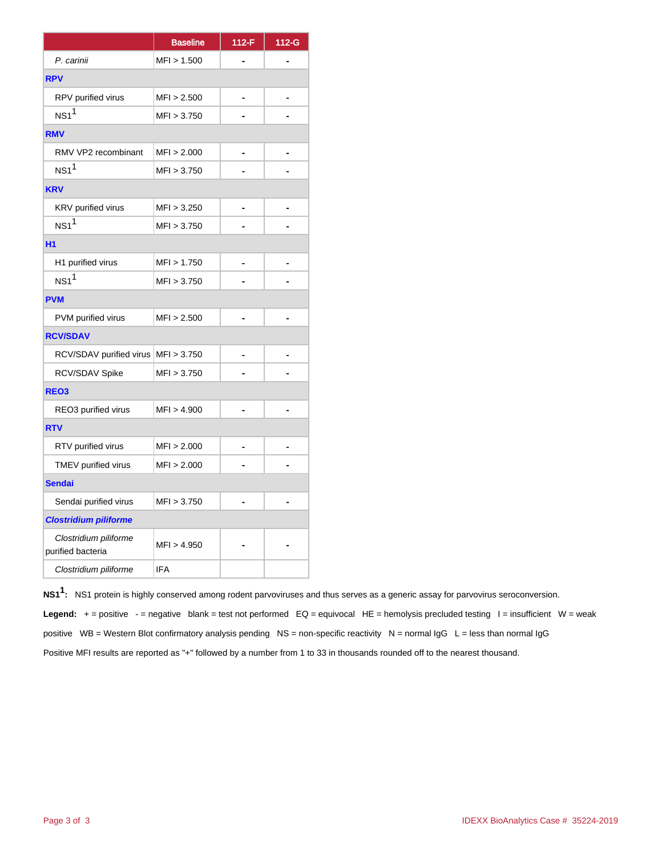|                                            | <b>Baseline</b> | $112-F$ | 112-G |
|--------------------------------------------|-----------------|---------|-------|
| P. carinii                                 | MFI > 1.500     |         |       |
| <b>RPV</b>                                 |                 |         |       |
| RPV purified virus                         | MFI > 2.500     |         |       |
| NS1 <sup>1</sup>                           | MFI > 3.750     |         |       |
| <b>RMV</b>                                 |                 |         |       |
| RMV VP2 recombinant                        | MFI > 2.000     |         |       |
| NS1 <sup>1</sup>                           | MFI > 3.750     |         |       |
| <b>KRV</b>                                 |                 |         |       |
| KRV purified virus                         | MFI > 3.250     |         |       |
| NS1 <sup>1</sup>                           | MFI > 3.750     |         |       |
| H <sub>1</sub>                             |                 |         |       |
| H1 purified virus                          | MFI > 1.750     |         |       |
| NS1 <sup>1</sup>                           | MFI > 3.750     |         |       |
| <b>PVM</b>                                 |                 |         |       |
| PVM purified virus                         | MFI > 2.500     |         |       |
| <b>RCV/SDAV</b>                            |                 |         |       |
| RCV/SDAV purified virus                    | MFI > 3.750     |         |       |
| RCV/SDAV Spike                             | MFI > 3.750     |         |       |
| REO <sub>3</sub>                           |                 |         |       |
| REO3 purified virus                        | MFI > 4.900     |         |       |
| <b>RTV</b>                                 |                 |         |       |
| RTV purified virus                         | MFI > 2.000     |         |       |
| TMEV purified virus                        | MFI > 2.000     |         |       |
| <b>Sendai</b>                              |                 |         |       |
| Sendai purified virus                      | MFI > 3.750     |         |       |
| <b>Clostridium piliforme</b>               |                 |         |       |
| Clostridium piliforme<br>purified bacteria | MFI > 4.950     |         |       |
| Clostridium piliforme                      | <b>IFA</b>      |         |       |

**NS11 :** NS1 protein is highly conserved among rodent parvoviruses and thus serves as a generic assay for parvovirus seroconversion. **Legend:**  $+$  = positive  $-$  = negative blank = test not performed  $EQ =$  equivocal  $HE =$  hemolysis precluded testing  $I =$  insufficient  $W =$  weak positive WB = Western Blot confirmatory analysis pending NS = non-specific reactivity N = normal  $\lg G$  L = less than normal  $\lg G$ Positive MFI results are reported as "+" followed by a number from 1 to 33 in thousands rounded off to the nearest thousand.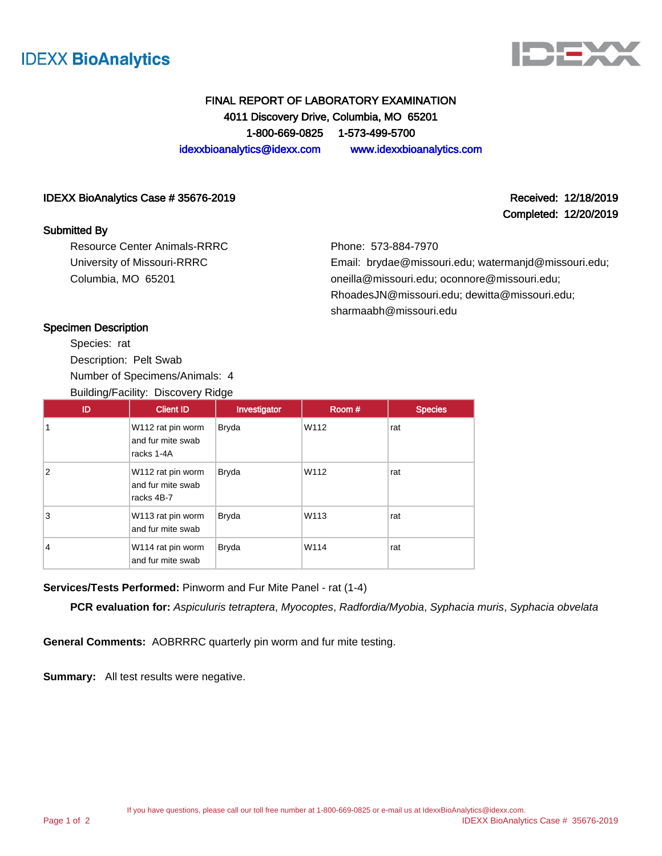



# FINAL REPORT OF LABORATORY EXAMINATION 4011 Discovery Drive, Columbia, MO 65201 1-800-669-0825 1-573-499-5700 idexxbioanalytics@idexx.com www.idexxbioanalytics.com

#### IDEXX BioAnalytics Case # 35676-2019 Received: 12/18/2019

#### Submitted By

Resource Center Animals-RRRC University of Missouri-RRRC Columbia, MO 65201

Completed: 12/20/2019

Phone: 573-884-7970 Email: brydae@missouri.edu; watermanjd@missouri.edu;

oneilla@missouri.edu; oconnore@missouri.edu; RhoadesJN@missouri.edu; dewitta@missouri.edu; sharmaabh@missouri.edu

#### Specimen Description

Species: rat Description: Pelt Swab Number of Specimens/Animals: 4 Building/Facility: Discovery Ridge

| ID             | <b>Client ID</b>                                     | Investigator | Room # | <b>Species</b> |
|----------------|------------------------------------------------------|--------------|--------|----------------|
| 1              | W112 rat pin worm<br>and fur mite swab<br>racks 1-4A | <b>Bryda</b> | W112   | rat            |
| $\overline{2}$ | W112 rat pin worm<br>and fur mite swab<br>racks 4B-7 | <b>Bryda</b> | W112   | rat            |
| 3              | W113 rat pin worm<br>and fur mite swab               | <b>Bryda</b> | W113   | rat            |
| $\overline{4}$ | W114 rat pin worm<br>and fur mite swab               | <b>Bryda</b> | W114   | rat            |

# **Services/Tests Performed:** Pinworm and Fur Mite Panel - rat (1-4)

**PCR evaluation for:** Aspiculuris tetraptera, Myocoptes, Radfordia/Myobia, Syphacia muris, Syphacia obvelata

**General Comments:** AOBRRRC quarterly pin worm and fur mite testing.

**Summary:** All test results were negative.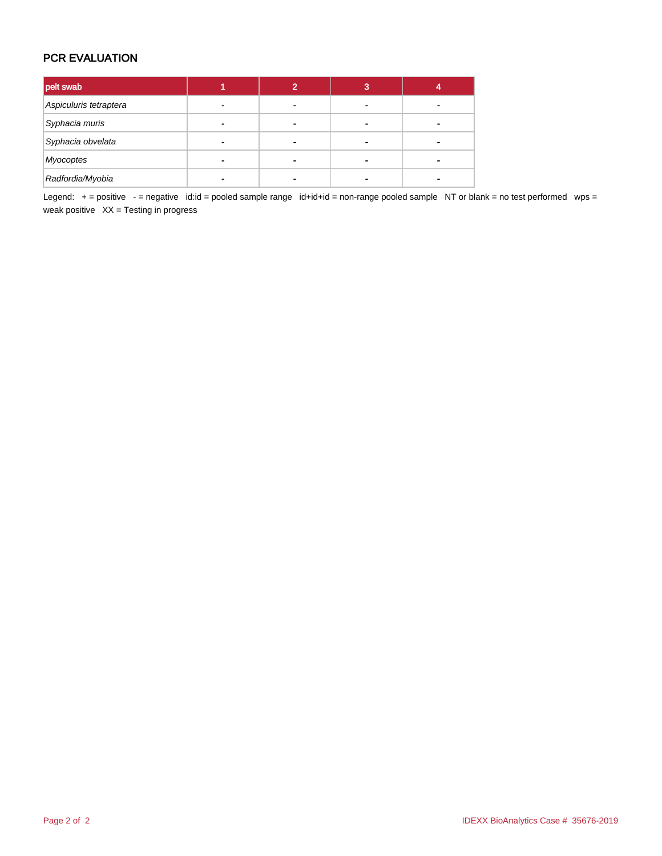# PCR EVALUATION

| pelt swab              |   |   | 3 |  |
|------------------------|---|---|---|--|
| Aspiculuris tetraptera |   | - |   |  |
| Syphacia muris         |   | ۰ |   |  |
| Syphacia obvelata      | - | - |   |  |
| Myocoptes              | ۰ | - |   |  |
| Radfordia/Myobia       |   |   |   |  |

Legend: + = positive - = negative id:id = pooled sample range id+id+id = non-range pooled sample NT or blank = no test performed wps = weak positive  $XX =$  Testing in progress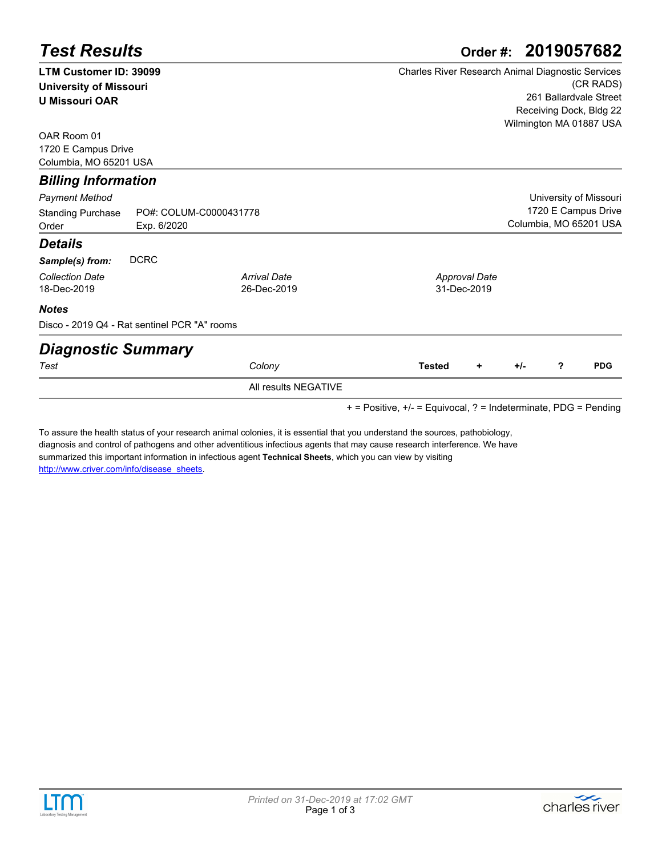| <b>Test Results</b>           |                                              |                      | 2019057682<br>Order #:                                   |  |  |  |  |  |  |
|-------------------------------|----------------------------------------------|----------------------|----------------------------------------------------------|--|--|--|--|--|--|
| LTM Customer ID: 39099        |                                              |                      | <b>Charles River Research Animal Diagnostic Services</b> |  |  |  |  |  |  |
| <b>University of Missouri</b> |                                              |                      | (CR RADS)                                                |  |  |  |  |  |  |
| <b>U Missouri OAR</b>         |                                              |                      | 261 Ballardvale Street                                   |  |  |  |  |  |  |
|                               |                                              |                      | Receiving Dock, Bldg 22                                  |  |  |  |  |  |  |
| OAR Room 01                   |                                              |                      | Wilmington MA 01887 USA                                  |  |  |  |  |  |  |
| 1720 E Campus Drive           |                                              |                      |                                                          |  |  |  |  |  |  |
| Columbia, MO 65201 USA        |                                              |                      |                                                          |  |  |  |  |  |  |
| <b>Billing Information</b>    |                                              |                      |                                                          |  |  |  |  |  |  |
| <b>Payment Method</b>         |                                              |                      | University of Missouri                                   |  |  |  |  |  |  |
| <b>Standing Purchase</b>      | PO#: COLUM-C0000431778                       |                      | 1720 E Campus Drive                                      |  |  |  |  |  |  |
| Order                         | Exp. 6/2020                                  |                      | Columbia, MO 65201 USA                                   |  |  |  |  |  |  |
| <b>Details</b>                |                                              |                      |                                                          |  |  |  |  |  |  |
| Sample(s) from:               | <b>DCRC</b>                                  |                      |                                                          |  |  |  |  |  |  |
| <b>Collection Date</b>        |                                              | <b>Arrival Date</b>  | <b>Approval Date</b>                                     |  |  |  |  |  |  |
| 18-Dec-2019                   |                                              | 26-Dec-2019          | 31-Dec-2019                                              |  |  |  |  |  |  |
| <b>Notes</b>                  |                                              |                      |                                                          |  |  |  |  |  |  |
|                               | Disco - 2019 Q4 - Rat sentinel PCR "A" rooms |                      |                                                          |  |  |  |  |  |  |
| <b>Diagnostic Summary</b>     |                                              |                      |                                                          |  |  |  |  |  |  |
| Test                          |                                              | Colony               | <b>PDG</b><br>?<br><b>Tested</b><br>$+/-$<br>٠           |  |  |  |  |  |  |
|                               |                                              | All results NEGATIVE |                                                          |  |  |  |  |  |  |

+ = Positive, +/- = Equivocal, ? = Indeterminate, PDG = Pending

To assure the health status of your research animal colonies, it is essential that you understand the sources, pathobiology, [diagnosis and control of pathogens and other adventitious infectious agents that may cause research interference. We have](http://www.criver.com/info/disease_sheets)  summarized this important information in infectious agent **Technical Sheets**, which you can view by visiting http://www.criver.com/info/disease\_sheets.



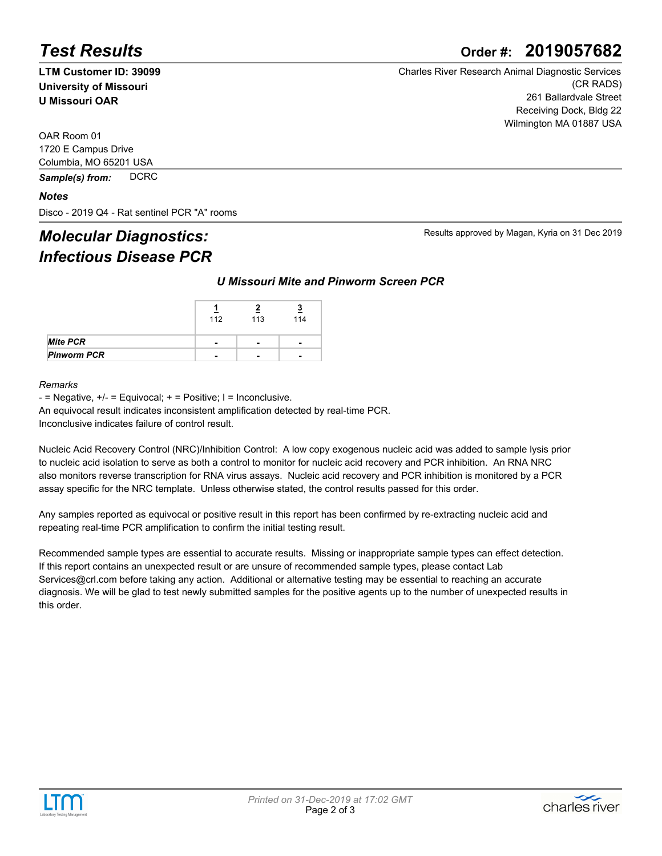# *Test Results* **Order #: 2019057682**

**LTM Customer ID: 39099 University of Missouri U Missouri OAR**

Charles River Research Animal Diagnostic Services (CR RADS) 261 Ballardvale Street Receiving Dock, Bldg 22 Wilmington MA 01887 USA

Results approved by Magan, Kyria on 31 Dec 2019

OAR Room 01 1720 E Campus Drive Columbia, MO 65201 USA

*Sample(s) from:* DCRC

#### *Notes*

Disco - 2019 Q4 - Rat sentinel PCR "A" rooms

# *Molecular Diagnostics: Infectious Disease PCR*

#### *U Missouri Mite and Pinworm Screen PCR*

|                    | 112                      | 113                      | 114                      |
|--------------------|--------------------------|--------------------------|--------------------------|
| <b>Mite PCR</b>    | $\overline{\phantom{0}}$ | $\overline{\phantom{0}}$ | $\overline{\phantom{0}}$ |
| <b>Pinworm PCR</b> | $\overline{\phantom{0}}$ | -                        |                          |

#### *Remarks*

 $-$  = Negative,  $+/-$  = Equivocal;  $+$  = Positive; I = Inconclusive.

An equivocal result indicates inconsistent amplification detected by real-time PCR.

Inconclusive indicates failure of control result.

Nucleic Acid Recovery Control (NRC)/Inhibition Control: A low copy exogenous nucleic acid was added to sample lysis prior to nucleic acid isolation to serve as both a control to monitor for nucleic acid recovery and PCR inhibition. An RNA NRC also monitors reverse transcription for RNA virus assays. Nucleic acid recovery and PCR inhibition is monitored by a PCR assay specific for the NRC template. Unless otherwise stated, the control results passed for this order.

Any samples reported as equivocal or positive result in this report has been confirmed by re-extracting nucleic acid and repeating real-time PCR amplification to confirm the initial testing result.

Recommended sample types are essential to accurate results. Missing or inappropriate sample types can effect detection. If this report contains an unexpected result or are unsure of recommended sample types, please contact Lab Services@crl.com before taking any action. Additional or alternative testing may be essential to reaching an accurate diagnosis. We will be glad to test newly submitted samples for the positive agents up to the number of unexpected results in this order.